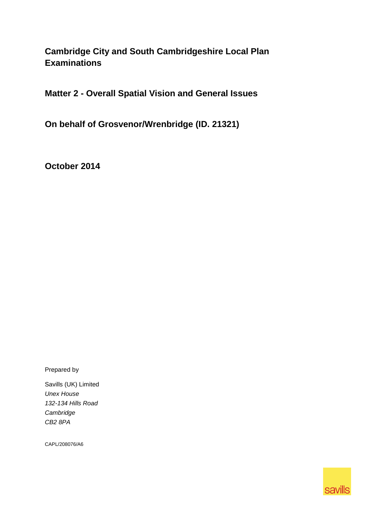# **Cambridge City and South Cambridgeshire Local Plan Examinations**

**Matter 2 - Overall Spatial Vision and General Issues** 

**On behalf of Grosvenor/Wrenbridge (ID. 21321)**

**October 2014**

Prepared by

Savills (UK) Limited *Unex House 132-134 Hills Road Cambridge CB2 8PA*

CAPL/208076/A6

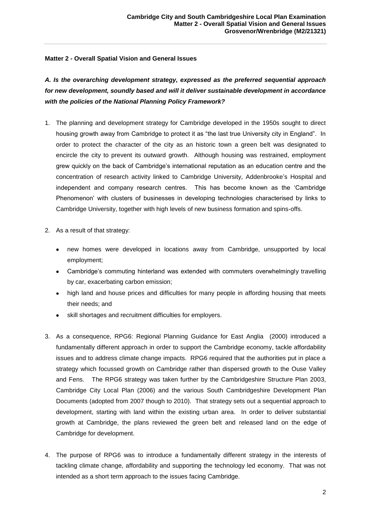# **Matter 2 - Overall Spatial Vision and General Issues**

*A. Is the overarching development strategy, expressed as the preferred sequential approach for new development, soundly based and will it deliver sustainable development in accordance with the policies of the National Planning Policy Framework?* 

- 1. The planning and development strategy for Cambridge developed in the 1950s sought to direct housing growth away from Cambridge to protect it as "the last true University city in England". In order to protect the character of the city as an historic town a green belt was designated to encircle the city to prevent its outward growth. Although housing was restrained, employment grew quickly on the back of Cambridge's international reputation as an education centre and the concentration of research activity linked to Cambridge University, Addenbrooke's Hospital and independent and company research centres. This has become known as the 'Cambridge Phenomenon' with clusters of businesses in developing technologies characterised by links to Cambridge University, together with high levels of new business formation and spins-offs.
- 2. As a result of that strategy:
	- new homes were developed in locations away from Cambridge, unsupported by local employment;
	- Cambridge's commuting hinterland was extended with commuters overwhelmingly travelling by car, exacerbating carbon emission;
	- high land and house prices and difficulties for many people in affording housing that meets their needs; and
	- skill shortages and recruitment difficulties for employers.
- 3. As a consequence, RPG6: Regional Planning Guidance for East Anglia (2000) introduced a fundamentally different approach in order to support the Cambridge economy, tackle affordability issues and to address climate change impacts. RPG6 required that the authorities put in place a strategy which focussed growth on Cambridge rather than dispersed growth to the Ouse Valley and Fens. The RPG6 strategy was taken further by the Cambridgeshire Structure Plan 2003, Cambridge City Local Plan (2006) and the various South Cambridgeshire Development Plan Documents (adopted from 2007 though to 2010). That strategy sets out a sequential approach to development, starting with land within the existing urban area. In order to deliver substantial growth at Cambridge, the plans reviewed the green belt and released land on the edge of Cambridge for development.
- 4. The purpose of RPG6 was to introduce a fundamentally different strategy in the interests of tackling climate change, affordability and supporting the technology led economy. That was not intended as a short term approach to the issues facing Cambridge.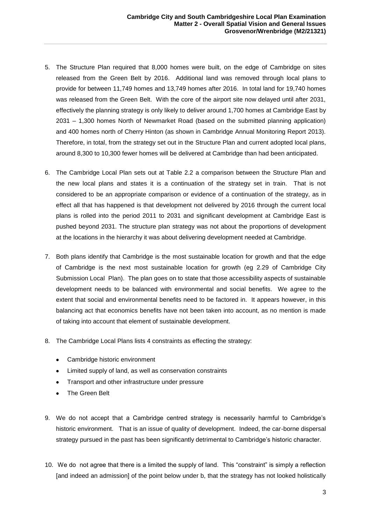- 5. The Structure Plan required that 8,000 homes were built, on the edge of Cambridge on sites released from the Green Belt by 2016. Additional land was removed through local plans to provide for between 11,749 homes and 13,749 homes after 2016. In total land for 19,740 homes was released from the Green Belt. With the core of the airport site now delayed until after 2031, effectively the planning strategy is only likely to deliver around 1,700 homes at Cambridge East by 2031 – 1,300 homes North of Newmarket Road (based on the submitted planning application) and 400 homes north of Cherry Hinton (as shown in Cambridge Annual Monitoring Report 2013). Therefore, in total, from the strategy set out in the Structure Plan and current adopted local plans, around 8,300 to 10,300 fewer homes will be delivered at Cambridge than had been anticipated.
- 6. The Cambridge Local Plan sets out at Table 2.2 a comparison between the Structure Plan and the new local plans and states it is a continuation of the strategy set in train. That is not considered to be an appropriate comparison or evidence of a continuation of the strategy, as in effect all that has happened is that development not delivered by 2016 through the current local plans is rolled into the period 2011 to 2031 and significant development at Cambridge East is pushed beyond 2031. The structure plan strategy was not about the proportions of development at the locations in the hierarchy it was about delivering development needed at Cambridge.
- 7. Both plans identify that Cambridge is the most sustainable location for growth and that the edge of Cambridge is the next most sustainable location for growth (eg 2.29 of Cambridge City Submission Local Plan). The plan goes on to state that those accessibility aspects of sustainable development needs to be balanced with environmental and social benefits. We agree to the extent that social and environmental benefits need to be factored in. It appears however, in this balancing act that economics benefits have not been taken into account, as no mention is made of taking into account that element of sustainable development.
- 8. The Cambridge Local Plans lists 4 constraints as effecting the strategy:
	- Cambridge historic environment
	- Limited supply of land, as well as conservation constraints
	- $\bullet$ Transport and other infrastructure under pressure
	- The Green Belt
- 9. We do not accept that a Cambridge centred strategy is necessarily harmful to Cambridge's historic environment. That is an issue of quality of development. Indeed, the car-borne dispersal strategy pursued in the past has been significantly detrimental to Cambridge's historic character.
- 10. We do not agree that there is a limited the supply of land. This "constraint" is simply a reflection [and indeed an admission] of the point below under b, that the strategy has not looked holistically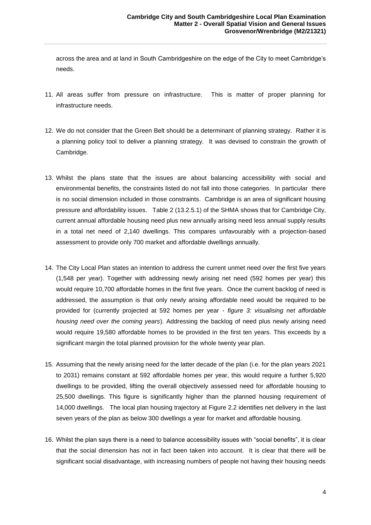across the area and at land in South Cambridgeshire on the edge of the City to meet Cambridge's needs.

- 11. All areas suffer from pressure on infrastructure. This is matter of proper planning for infrastructure needs.
- 12. We do not consider that the Green Belt should be a determinant of planning strategy. Rather it is a planning policy tool to deliver a planning strategy. It was devised to constrain the growth of Cambridge.
- 13. Whilst the plans state that the issues are about balancing accessibility with social and environmental benefits, the constraints listed do not fall into those categories. In particular there is no social dimension included in those constraints. Cambridge is an area of significant housing pressure and affordability issues. Table 2 (13.2.5.1) of the SHMA shows that for Cambridge City, current annual affordable housing need plus new annually arising need less annual supply results in a total net need of 2,140 dwellings. This compares unfavourably with a projection-based assessment to provide only 700 market and affordable dwellings annually.
- 14. The City Local Plan states an intention to address the current unmet need over the first five years (1,548 per year). Together with addressing newly arising net need (592 homes per year) this would require 10,700 affordable homes in the first five years. Once the current backlog of need is addressed, the assumption is that only newly arising affordable need would be required to be provided for (currently projected at 592 homes per year - *figure 3: visualising net affordable housing need over the coming years*). Addressing the backlog of need plus newly arising need would require 19,580 affordable homes to be provided in the first ten years. This exceeds by a significant margin the total planned provision for the whole twenty year plan.
- 15. Assuming that the newly arising need for the latter decade of the plan (i.e. for the plan years 2021 to 2031) remains constant at 592 affordable homes per year, this would require a further 5,920 dwellings to be provided, lifting the overall objectively assessed need for affordable housing to 25,500 dwellings. This figure is significantly higher than the planned housing requirement of 14,000 dwellings. The local plan housing trajectory at Figure 2.2 identifies net delivery in the last seven years of the plan as below 300 dwellings a year for market and affordable housing.
- 16. Whilst the plan says there is a need to balance accessibility issues with "social benefits", it is clear that the social dimension has not in fact been taken into account. It is clear that there will be significant social disadvantage, with increasing numbers of people not having their housing needs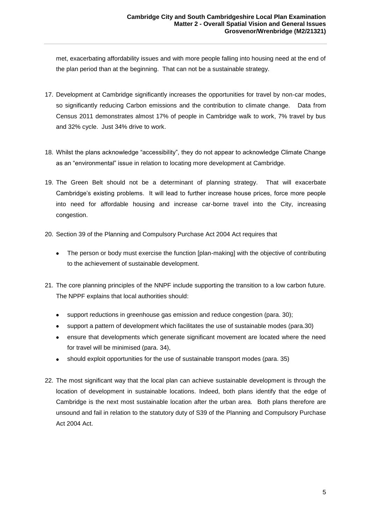met, exacerbating affordability issues and with more people falling into housing need at the end of the plan period than at the beginning. That can not be a sustainable strategy.

- 17. Development at Cambridge significantly increases the opportunities for travel by non-car modes, so significantly reducing Carbon emissions and the contribution to climate change. Data from Census 2011 demonstrates almost 17% of people in Cambridge walk to work, 7% travel by bus and 32% cycle. Just 34% drive to work.
- 18. Whilst the plans acknowledge "accessibility", they do not appear to acknowledge Climate Change as an "environmental" issue in relation to locating more development at Cambridge.
- 19. The Green Belt should not be a determinant of planning strategy. That will exacerbate Cambridge's existing problems. It will lead to further increase house prices, force more people into need for affordable housing and increase car-borne travel into the City, increasing congestion.
- 20. Section 39 of the Planning and Compulsory Purchase Act 2004 Act requires that
	- The person or body must exercise the function [plan-making] with the objective of contributing to the achievement of sustainable development.
- 21. The core planning principles of the NNPF include supporting the transition to a low carbon future. The NPPF explains that local authorities should:
	- support reductions in greenhouse gas emission and reduce congestion (para. 30);
	- $\bullet$ support a pattern of development which facilitates the use of sustainable modes (para.30)
	- ensure that developments which generate significant movement are located where the need for travel will be minimised (para. 34),
	- $\bullet$ should exploit opportunities for the use of sustainable transport modes (para. 35)
- 22. The most significant way that the local plan can achieve sustainable development is through the location of development in sustainable locations. Indeed, both plans identify that the edge of Cambridge is the next most sustainable location after the urban area. Both plans therefore are unsound and fail in relation to the statutory duty of S39 of the Planning and Compulsory Purchase Act 2004 Act.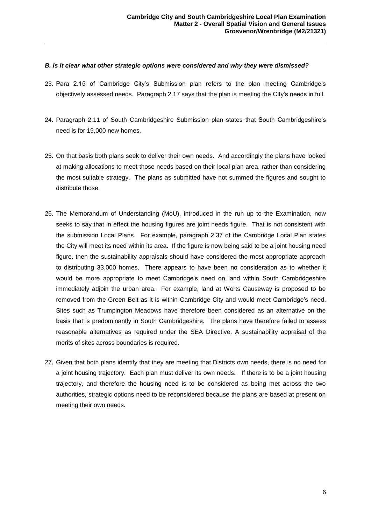#### *B. Is it clear what other strategic options were considered and why they were dismissed?*

- 23. Para 2.15 of Cambridge City's Submission plan refers to the plan meeting Cambridge's objectively assessed needs. Paragraph 2.17 says that the plan is meeting the City's needs in full.
- 24. Paragraph 2.11 of South Cambridgeshire Submission plan states that South Cambridgeshire's need is for 19,000 new homes.
- 25. On that basis both plans seek to deliver their own needs. And accordingly the plans have looked at making allocations to meet those needs based on their local plan area, rather than considering the most suitable strategy. The plans as submitted have not summed the figures and sought to distribute those.
- 26. The Memorandum of Understanding (MoU), introduced in the run up to the Examination, now seeks to say that in effect the housing figures are joint needs figure. That is not consistent with the submission Local Plans. For example, paragraph 2.37 of the Cambridge Local Plan states the City will meet its need within its area. If the figure is now being said to be a joint housing need figure, then the sustainability appraisals should have considered the most appropriate approach to distributing 33,000 homes. There appears to have been no consideration as to whether it would be more appropriate to meet Cambridge's need on land within South Cambridgeshire immediately adjoin the urban area. For example, land at Worts Causeway is proposed to be removed from the Green Belt as it is within Cambridge City and would meet Cambridge's need. Sites such as Trumpington Meadows have therefore been considered as an alternative on the basis that is predominantly in South Cambridgeshire. The plans have therefore failed to assess reasonable alternatives as required under the SEA Directive. A sustainability appraisal of the merits of sites across boundaries is required.
- 27. Given that both plans identify that they are meeting that Districts own needs, there is no need for a joint housing trajectory. Each plan must deliver its own needs. If there is to be a joint housing trajectory, and therefore the housing need is to be considered as being met across the two authorities, strategic options need to be reconsidered because the plans are based at present on meeting their own needs.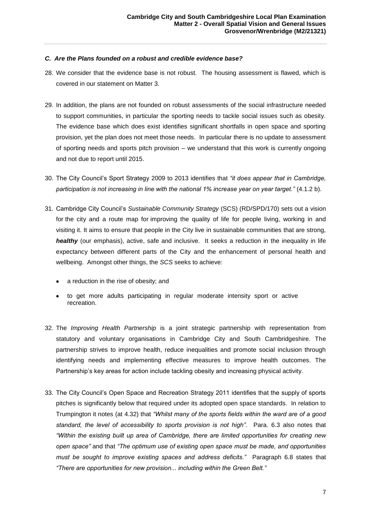## *C. Are the Plans founded on a robust and credible evidence base?*

- 28. We consider that the evidence base is not robust. The housing assessment is flawed, which is covered in our statement on Matter 3.
- 29. In addition, the plans are not founded on robust assessments of the social infrastructure needed to support communities, in particular the sporting needs to tackle social issues such as obesity. The evidence base which does exist identifies significant shortfalls in open space and sporting provision, yet the plan does not meet those needs. In particular there is no update to assessment of sporting needs and sports pitch provision – we understand that this work is currently ongoing and not due to report until 2015.
- 30. The City Council's Sport Strategy 2009 to 2013 identifies that *"it does appear that in Cambridge, participation is not increasing in line with the national 1% increase year on year target."* (4.1.2 b).
- 31. Cambridge City Council's *Sustainable Community Strategy* (SCS) (RD/SPD/170) sets out a vision for the city and a route map for improving the quality of life for people living, working in and visiting it. It aims to ensure that people in the City live in sustainable communities that are strong, *healthy* (our emphasis), active, safe and inclusive. It seeks a reduction in the inequality in life expectancy between different parts of the City and the enhancement of personal health and wellbeing. Amongst other things, the *SCS* seeks to achieve:
	- a reduction in the rise of obesity; and
	- to get more adults participating in regular moderate intensity sport or active recreation.
- 32. The *Improving Health Partnership* is a joint strategic partnership with representation from statutory and voluntary organisations in Cambridge City and South Cambridgeshire. The partnership strives to improve health, reduce inequalities and promote social inclusion through identifying needs and implementing effective measures to improve health outcomes. The Partnership's key areas for action include tackling obesity and increasing physical activity.
- 33. The City Council's Open Space and Recreation Strategy 2011 identifies that the supply of sports pitches is significantly below that required under its adopted open space standards. In relation to Trumpington it notes (at 4.32) that *"Whilst many of the sports fields within the ward are of a good standard, the level of accessibility to sports provision is not high"*. Para. 6.3 also notes that *"Within the existing built up area of Cambridge, there are limited opportunities for creating new open space"* and that *"The optimum use of existing open space must be made, and opportunities must be sought to improve existing spaces and address deficits."* Paragraph 6.8 states that *"There are opportunities for new provision... including within the Green Belt."*